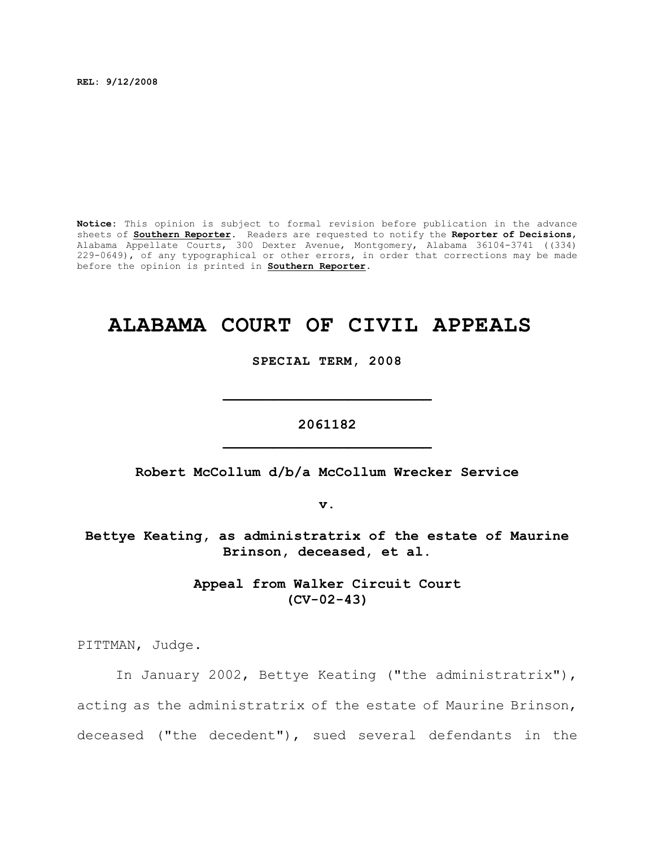**REL: 9/12/2008**

**Notice:** This opinion is subject to formal revision before publication in the advance sheets of **Southern Reporter**. Readers are requested to notify the **Reporter of Decisions**, Alabama Appellate Courts, 300 Dexter Avenue, Montgomery, Alabama 36104-3741 ((334)  $229-0649$ , of any typographical or other errors, in order that corrections may be made before the opinion is printed in **Southern Reporter**.

# **ALABAMA COURT OF CIVIL APPEALS**

**SPECIAL TERM, 2008**

**\_\_\_\_\_\_\_\_\_\_\_\_\_\_\_\_\_\_\_\_\_\_\_\_\_**

**2061182 \_\_\_\_\_\_\_\_\_\_\_\_\_\_\_\_\_\_\_\_\_\_\_\_\_**

**Robert McCollum d/b/a McCollum Wrecker Service**

**v.**

**Bettye Keating, as administratrix of the estate of Maurine Brinson, deceased, et al.**

> **Appeal from Walker Circuit Court (CV-02-43)**

PITTMAN, Judge.

In January 2002, Bettye Keating ("the administratrix"), acting as the administratrix of the estate of Maurine Brinson, deceased ("the decedent"), sued several defendants in the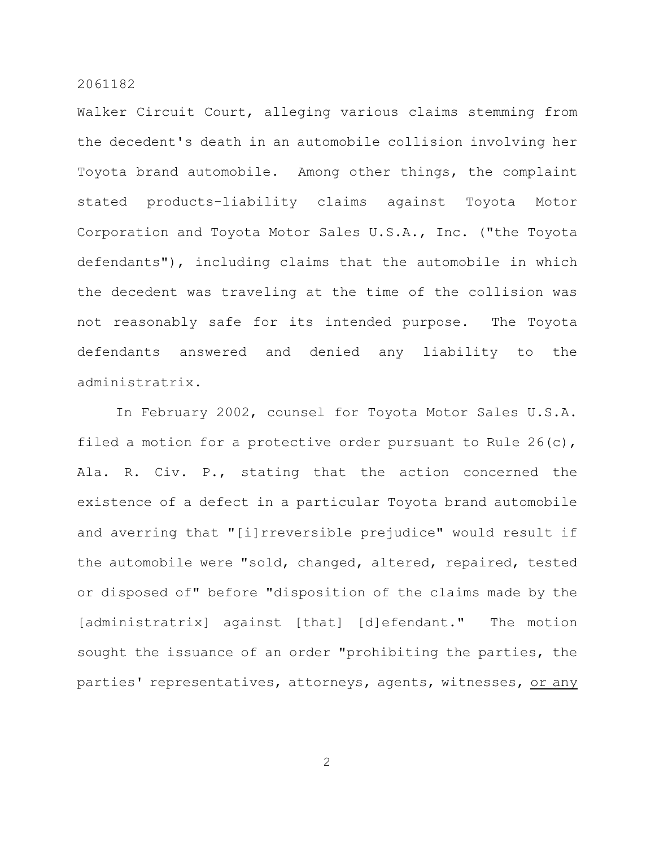Walker Circuit Court, alleging various claims stemming from the decedent's death in an automobile collision involving her Toyota brand automobile. Among other things, the complaint stated products-liability claims against Toyota Motor Corporation and Toyota Motor Sales U.S.A., Inc. ("the Toyota defendants"), including claims that the automobile in which the decedent was traveling at the time of the collision was not reasonably safe for its intended purpose. The Toyota defendants answered and denied any liability to the administratrix.

In February 2002, counsel for Toyota Motor Sales U.S.A. filed a motion for a protective order pursuant to Rule 26(c), Ala. R. Civ. P., stating that the action concerned the existence of a defect in a particular Toyota brand automobile and averring that "[i]rreversible prejudice" would result if the automobile were "sold, changed, altered, repaired, tested or disposed of" before "disposition of the claims made by the [administratrix] against [that] [d]efendant." The motion sought the issuance of an order "prohibiting the parties, the parties' representatives, attorneys, agents, witnesses, or any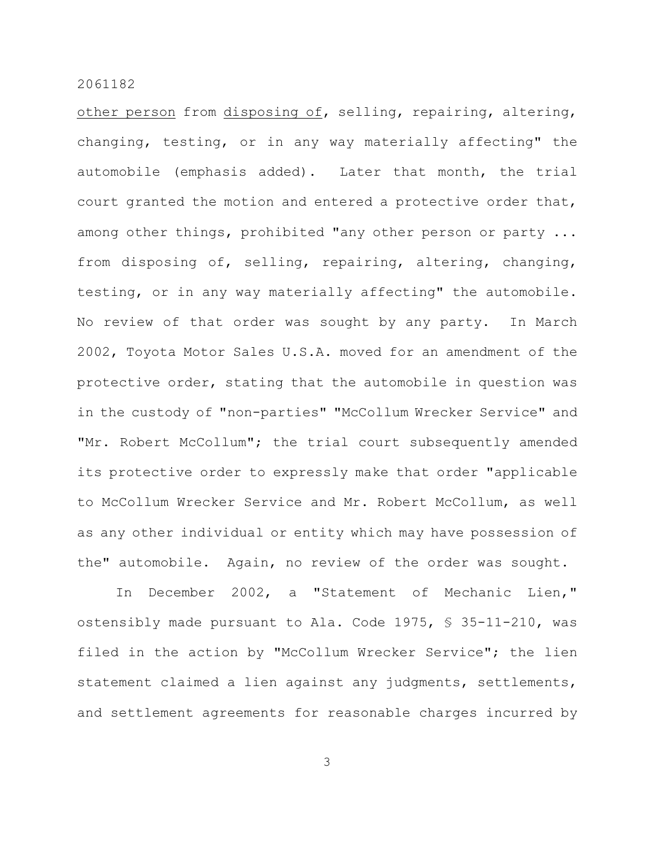other person from disposing of, selling, repairing, altering, changing, testing, or in any way materially affecting" the automobile (emphasis added). Later that month, the trial court granted the motion and entered a protective order that, among other things, prohibited "any other person or party ... from disposing of, selling, repairing, altering, changing, testing, or in any way materially affecting" the automobile. No review of that order was sought by any party. In March 2002, Toyota Motor Sales U.S.A. moved for an amendment of the protective order, stating that the automobile in question was in the custody of "non-parties" "McCollum Wrecker Service" and "Mr. Robert McCollum"; the trial court subsequently amended its protective order to expressly make that order "applicable to McCollum Wrecker Service and Mr. Robert McCollum, as well as any other individual or entity which may have possession of the" automobile. Again, no review of the order was sought.

In December 2002, a "Statement of Mechanic Lien," ostensibly made pursuant to Ala. Code 1975, § 35-11-210, was filed in the action by "McCollum Wrecker Service"; the lien statement claimed a lien against any judgments, settlements, and settlement agreements for reasonable charges incurred by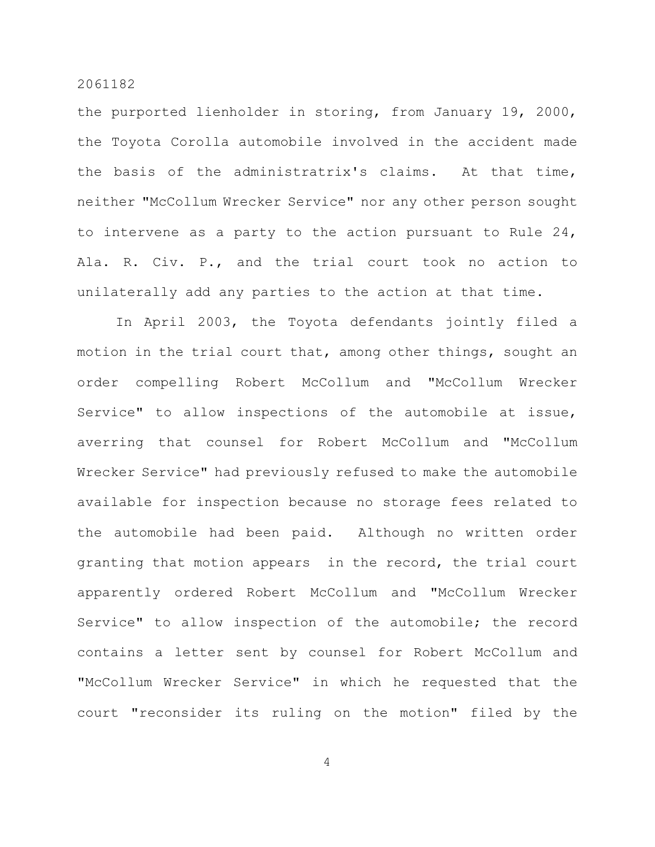the purported lienholder in storing, from January 19, 2000, the Toyota Corolla automobile involved in the accident made the basis of the administratrix's claims. At that time, neither "McCollum Wrecker Service" nor any other person sought to intervene as a party to the action pursuant to Rule 24, Ala. R. Civ. P., and the trial court took no action to unilaterally add any parties to the action at that time.

In April 2003, the Toyota defendants jointly filed a motion in the trial court that, among other things, sought an order compelling Robert McCollum and "McCollum Wrecker Service" to allow inspections of the automobile at issue, averring that counsel for Robert McCollum and "McCollum Wrecker Service" had previously refused to make the automobile available for inspection because no storage fees related to the automobile had been paid. Although no written order granting that motion appears in the record, the trial court apparently ordered Robert McCollum and "McCollum Wrecker Service" to allow inspection of the automobile; the record contains a letter sent by counsel for Robert McCollum and "McCollum Wrecker Service" in which he requested that the court "reconsider its ruling on the motion" filed by the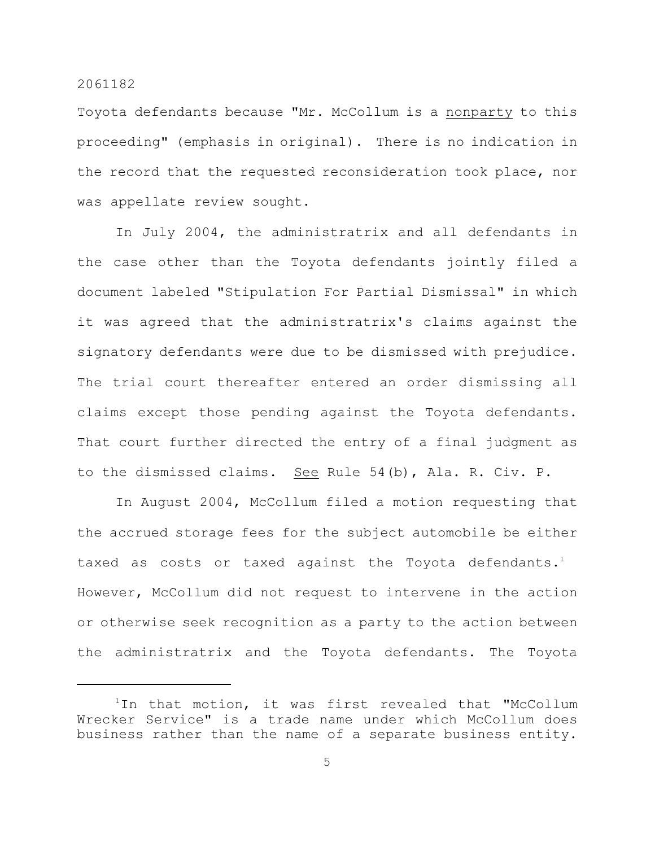Toyota defendants because "Mr. McCollum is a nonparty to this proceeding" (emphasis in original). There is no indication in the record that the requested reconsideration took place, nor was appellate review sought.

In July 2004, the administratrix and all defendants in the case other than the Toyota defendants jointly filed a document labeled "Stipulation For Partial Dismissal" in which it was agreed that the administratrix's claims against the signatory defendants were due to be dismissed with prejudice. The trial court thereafter entered an order dismissing all claims except those pending against the Toyota defendants. That court further directed the entry of a final judgment as to the dismissed claims. See Rule 54(b), Ala. R. Civ. P.

In August 2004, McCollum filed a motion requesting that the accrued storage fees for the subject automobile be either taxed as costs or taxed against the Toyota defendants.<sup>1</sup> However, McCollum did not request to intervene in the action or otherwise seek recognition as a party to the action between the administratrix and the Toyota defendants. The Toyota

 $1$ In that motion, it was first revealed that "McCollum Wrecker Service" is a trade name under which McCollum does business rather than the name of a separate business entity.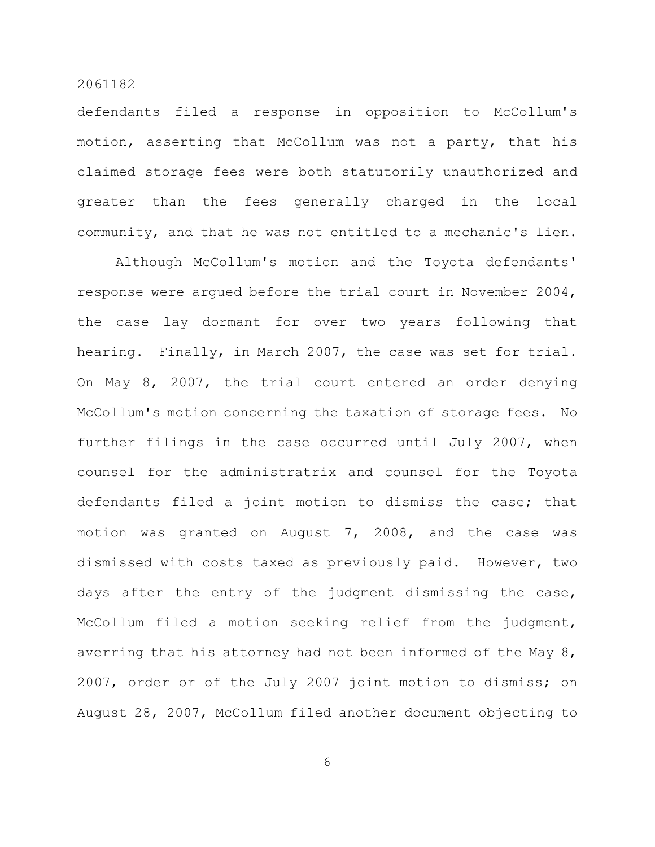defendants filed a response in opposition to McCollum's motion, asserting that McCollum was not a party, that his claimed storage fees were both statutorily unauthorized and greater than the fees generally charged in the local community, and that he was not entitled to a mechanic's lien.

Although McCollum's motion and the Toyota defendants' response were argued before the trial court in November 2004, the case lay dormant for over two years following that hearing. Finally, in March 2007, the case was set for trial. On May 8, 2007, the trial court entered an order denying McCollum's motion concerning the taxation of storage fees. No further filings in the case occurred until July 2007, when counsel for the administratrix and counsel for the Toyota defendants filed a joint motion to dismiss the case; that motion was granted on August 7, 2008, and the case was dismissed with costs taxed as previously paid. However, two days after the entry of the judgment dismissing the case, McCollum filed a motion seeking relief from the judgment, averring that his attorney had not been informed of the May 8, 2007, order or of the July 2007 joint motion to dismiss; on August 28, 2007, McCollum filed another document objecting to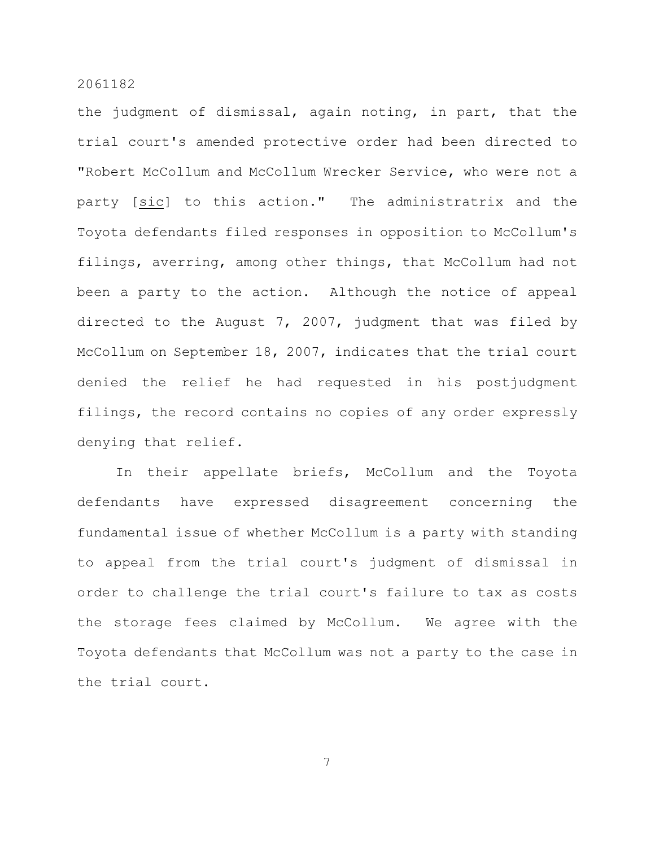the judgment of dismissal, again noting, in part, that the trial court's amended protective order had been directed to "Robert McCollum and McCollum Wrecker Service, who were not a party [sic] to this action." The administratrix and the Toyota defendants filed responses in opposition to McCollum's filings, averring, among other things, that McCollum had not been a party to the action. Although the notice of appeal directed to the August 7, 2007, judgment that was filed by McCollum on September 18, 2007, indicates that the trial court denied the relief he had requested in his postjudgment filings, the record contains no copies of any order expressly denying that relief.

In their appellate briefs, McCollum and the Toyota defendants have expressed disagreement concerning the fundamental issue of whether McCollum is a party with standing to appeal from the trial court's judgment of dismissal in order to challenge the trial court's failure to tax as costs the storage fees claimed by McCollum. We agree with the Toyota defendants that McCollum was not a party to the case in the trial court.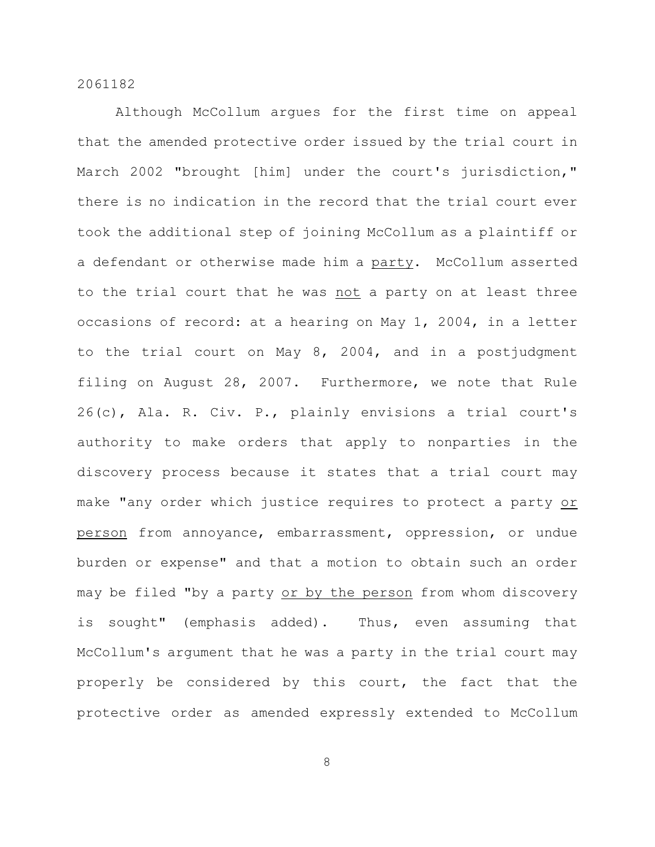Although McCollum argues for the first time on appeal that the amended protective order issued by the trial court in March 2002 "brought [him] under the court's jurisdiction," there is no indication in the record that the trial court ever took the additional step of joining McCollum as a plaintiff or a defendant or otherwise made him a party. McCollum asserted to the trial court that he was not a party on at least three occasions of record: at a hearing on May 1, 2004, in a letter to the trial court on May 8, 2004, and in a postjudgment filing on August 28, 2007. Furthermore, we note that Rule 26(c), Ala. R. Civ. P., plainly envisions a trial court's authority to make orders that apply to nonparties in the discovery process because it states that a trial court may make "any order which justice requires to protect a party or person from annoyance, embarrassment, oppression, or undue burden or expense" and that a motion to obtain such an order may be filed "by a party or by the person from whom discovery is sought" (emphasis added). Thus, even assuming that McCollum's argument that he was a party in the trial court may properly be considered by this court, the fact that the protective order as amended expressly extended to McCollum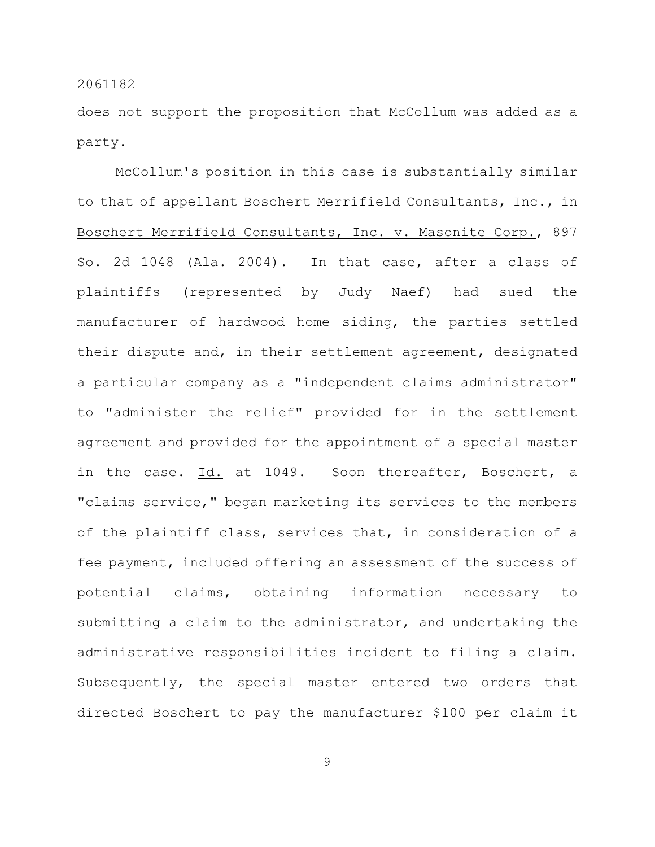does not support the proposition that McCollum was added as a party.

McCollum's position in this case is substantially similar to that of appellant Boschert Merrifield Consultants, Inc., in Boschert Merrifield Consultants, Inc. v. Masonite Corp., 897 So. 2d 1048 (Ala. 2004). In that case, after a class of plaintiffs (represented by Judy Naef) had sued the manufacturer of hardwood home siding, the parties settled their dispute and, in their settlement agreement, designated a particular company as a "independent claims administrator" to "administer the relief" provided for in the settlement agreement and provided for the appointment of a special master in the case. Id. at 1049. Soon thereafter, Boschert, a "claims service," began marketing its services to the members of the plaintiff class, services that, in consideration of a fee payment, included offering an assessment of the success of potential claims, obtaining information necessary to submitting a claim to the administrator, and undertaking the administrative responsibilities incident to filing a claim. Subsequently, the special master entered two orders that directed Boschert to pay the manufacturer \$100 per claim it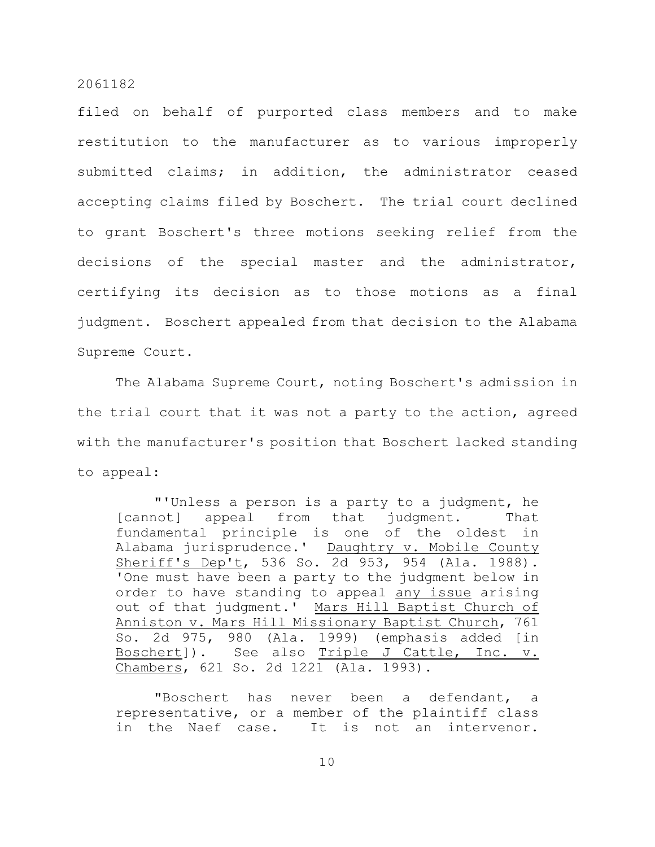filed on behalf of purported class members and to make restitution to the manufacturer as to various improperly submitted claims; in addition, the administrator ceased accepting claims filed by Boschert. The trial court declined to grant Boschert's three motions seeking relief from the decisions of the special master and the administrator, certifying its decision as to those motions as a final judgment. Boschert appealed from that decision to the Alabama Supreme Court.

The Alabama Supreme Court, noting Boschert's admission in the trial court that it was not a party to the action, agreed with the manufacturer's position that Boschert lacked standing to appeal:

"'Unless a person is a party to a judgment, he [cannot] appeal from that judgment. That fundamental principle is one of the oldest in Alabama jurisprudence.' Daughtry v. Mobile County Sheriff's Dep't, 536 So. 2d 953, 954 (Ala. 1988). 'One must have been a party to the judgment below in order to have standing to appeal any issue arising out of that judgment.' Mars Hill Baptist Church of Anniston v. Mars Hill Missionary Baptist Church, 761 So. 2d 975, 980 (Ala. 1999) (emphasis added [in Boschert]). See also Triple J Cattle, Inc. v. Chambers, 621 So. 2d 1221 (Ala. 1993).

"Boschert has never been a defendant, a representative, or a member of the plaintiff class in the Naef case. It is not an intervenor.